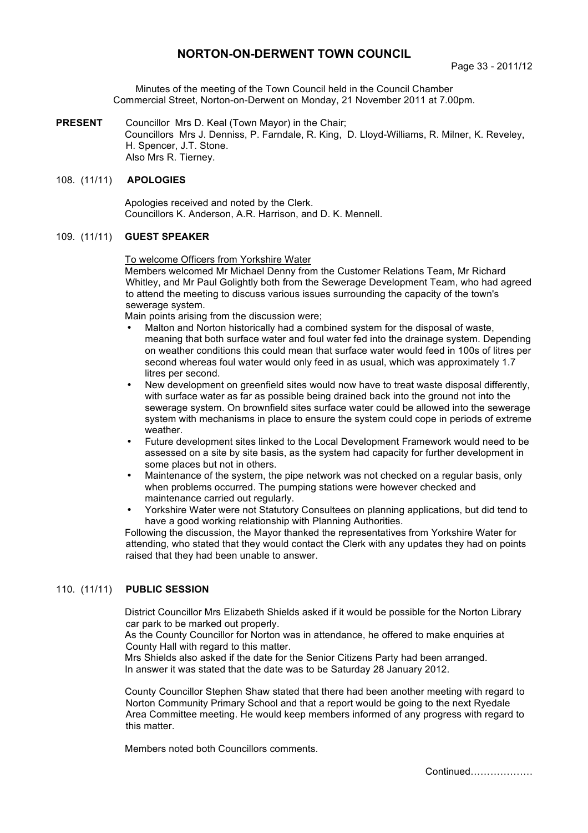# **NORTON-ON-DERWENT TOWN COUNCIL**

Minutes of the meeting of the Town Council held in the Council Chamber Commercial Street, Norton-on-Derwent on Monday, 21 November 2011 at 7.00pm.

**PRESENT** Councillor Mrs D. Keal (Town Mayor) in the Chair; Councillors Mrs J. Denniss, P. Farndale, R. King, D. Lloyd-Williams, R. Milner, K. Reveley, H. Spencer, J.T. Stone. Also Mrs R. Tierney.

## 108. (11/11) **APOLOGIES**

 Apologies received and noted by the Clerk. Councillors K. Anderson, A.R. Harrison, and D. K. Mennell.

## 109. (11/11) **GUEST SPEAKER**

#### To welcome Officers from Yorkshire Water

Members welcomed Mr Michael Denny from the Customer Relations Team, Mr Richard Whitley, and Mr Paul Golightly both from the Sewerage Development Team, who had agreed to attend the meeting to discuss various issues surrounding the capacity of the town's sewerage system.

Main points arising from the discussion were;

- Malton and Norton historically had a combined system for the disposal of waste, meaning that both surface water and foul water fed into the drainage system. Depending on weather conditions this could mean that surface water would feed in 100s of litres per second whereas foul water would only feed in as usual, which was approximately 1.7 litres per second.
- New development on greenfield sites would now have to treat waste disposal differently, with surface water as far as possible being drained back into the ground not into the sewerage system. On brownfield sites surface water could be allowed into the sewerage system with mechanisms in place to ensure the system could cope in periods of extreme weather.
- Future development sites linked to the Local Development Framework would need to be assessed on a site by site basis, as the system had capacity for further development in some places but not in others.
- Maintenance of the system, the pipe network was not checked on a regular basis, only when problems occurred. The pumping stations were however checked and maintenance carried out regularly.
- Yorkshire Water were not Statutory Consultees on planning applications, but did tend to have a good working relationship with Planning Authorities.

Following the discussion, the Mayor thanked the representatives from Yorkshire Water for attending, who stated that they would contact the Clerk with any updates they had on points raised that they had been unable to answer.

## 110. (11/11) **PUBLIC SESSION**

District Councillor Mrs Elizabeth Shields asked if it would be possible for the Norton Library car park to be marked out properly.

As the County Councillor for Norton was in attendance, he offered to make enquiries at County Hall with regard to this matter.

Mrs Shields also asked if the date for the Senior Citizens Party had been arranged. In answer it was stated that the date was to be Saturday 28 January 2012.

County Councillor Stephen Shaw stated that there had been another meeting with regard to Norton Community Primary School and that a report would be going to the next Ryedale Area Committee meeting. He would keep members informed of any progress with regard to this matter.

Members noted both Councillors comments.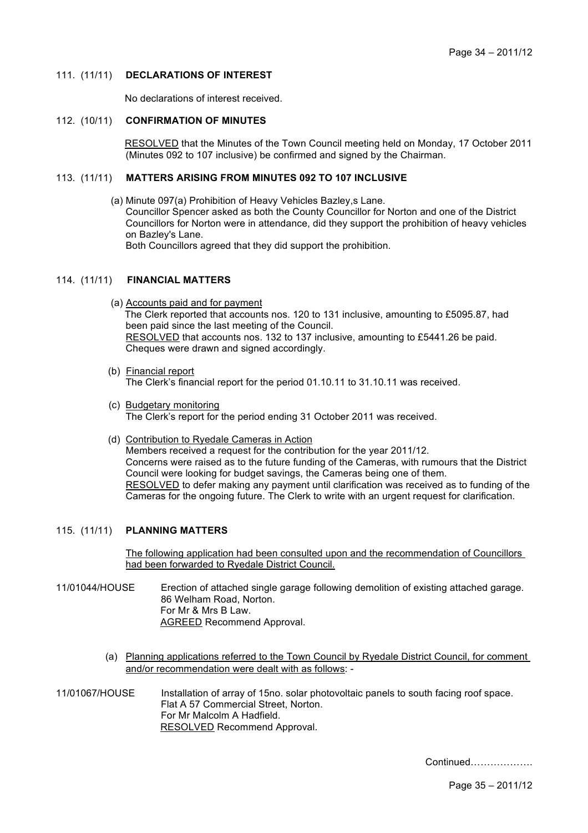### 111. (11/11) **DECLARATIONS OF INTEREST**

No declarations of interest received.

#### 112. (10/11) **CONFIRMATION OF MINUTES**

 RESOLVED that the Minutes of the Town Council meeting held on Monday, 17 October 2011 (Minutes 092 to 107 inclusive) be confirmed and signed by the Chairman.

#### 113. (11/11) **MATTERS ARISING FROM MINUTES 092 TO 107 INCLUSIVE**

(a) Minute 097(a) Prohibition of Heavy Vehicles Bazley,s Lane. Councillor Spencer asked as both the County Councillor for Norton and one of the District Councillors for Norton were in attendance, did they support the prohibition of heavy vehicles on Bazley's Lane. Both Councillors agreed that they did support the prohibition.

### 114. (11/11) **FINANCIAL MATTERS**

- (a) Accounts paid and for payment The Clerk reported that accounts nos. 120 to 131 inclusive, amounting to £5095.87, had been paid since the last meeting of the Council. RESOLVED that accounts nos. 132 to 137 inclusive, amounting to £5441.26 be paid. Cheques were drawn and signed accordingly.
- (b) Financial report The Clerk's financial report for the period 01.10.11 to 31.10.11 was received.
- (c) Budgetary monitoring The Clerk's report for the period ending 31 October 2011 was received.
- (d) Contribution to Ryedale Cameras in Action Members received a request for the contribution for the year 2011/12. Concerns were raised as to the future funding of the Cameras, with rumours that the District Council were looking for budget savings, the Cameras being one of them. RESOLVED to defer making any payment until clarification was received as to funding of the Cameras for the ongoing future. The Clerk to write with an urgent request for clarification.

#### 115. (11/11) **PLANNING MATTERS**

The following application had been consulted upon and the recommendation of Councillors had been forwarded to Ryedale District Council.

- 11/01044/HOUSE Erection of attached single garage following demolition of existing attached garage. 86 Welham Road, Norton. For Mr & Mrs B Law. AGREED Recommend Approval.
	- (a) Planning applications referred to the Town Council by Ryedale District Council, for comment and/or recommendation were dealt with as follows: -
- 11/01067/HOUSE Installation of array of 15no. solar photovoltaic panels to south facing roof space. Flat A 57 Commercial Street, Norton. For Mr Malcolm A Hadfield. RESOLVED Recommend Approval.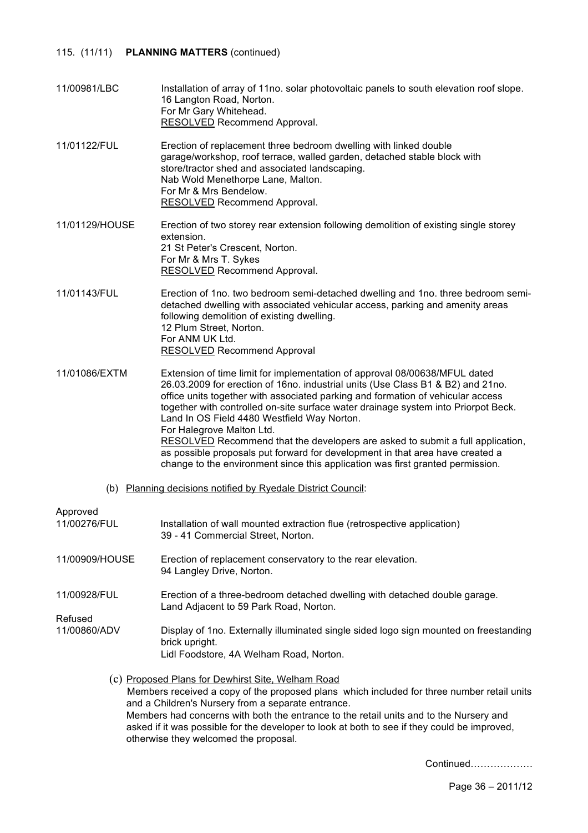## 115. (11/11) **PLANNING MATTERS** (continued)

| 11/00981/LBC | Installation of array of 11no. solar photovoltaic panels to south elevation roof slope. |
|--------------|-----------------------------------------------------------------------------------------|
|              | 16 Langton Road, Norton.<br>For Mr Gary Whitehead.                                      |
|              | RESOLVED Recommend Approval.                                                            |

11/01122/FUL Erection of replacement three bedroom dwelling with linked double garage/workshop, roof terrace, walled garden, detached stable block with store/tractor shed and associated landscaping. Nab Wold Menethorpe Lane, Malton. For Mr & Mrs Bendelow. RESOLVED Recommend Approval.

- 11/01129/HOUSE Erection of two storey rear extension following demolition of existing single storey extension. 21 St Peter's Crescent, Norton. For Mr & Mrs T. Sykes RESOLVED Recommend Approval.
- 11/01143/FUL Erection of 1no. two bedroom semi-detached dwelling and 1no. three bedroom semidetached dwelling with associated vehicular access, parking and amenity areas following demolition of existing dwelling. 12 Plum Street, Norton. For ANM UK Ltd. RESOLVED Recommend Approval

11/01086/EXTM Extension of time limit for implementation of approval 08/00638/MFUL dated 26.03.2009 for erection of 16no. industrial units (Use Class B1 & B2) and 21no. office units together with associated parking and formation of vehicular access together with controlled on-site surface water drainage system into Priorpot Beck. Land In OS Field 4480 Westfield Way Norton. For Halegrove Malton Ltd. RESOLVED Recommend that the developers are asked to submit a full application, as possible proposals put forward for development in that area have created a change to the environment since this application was first granted permission.

(b) Planning decisions notified by Ryedale District Council:

#### Approved

| 11/00276/FUL   | Installation of wall mounted extraction flue (retrospective application)<br>39 - 41 Commercial Street, Norton.       |
|----------------|----------------------------------------------------------------------------------------------------------------------|
| 11/00909/HOUSE | Erection of replacement conservatory to the rear elevation.<br>94 Langley Drive, Norton.                             |
| 11/00928/FUL   | Erection of a three-bedroom detached dwelling with detached double garage.<br>Land Adjacent to 59 Park Road, Norton. |
| Refused        |                                                                                                                      |
| 11/00860/ADV   | Display of 1no. Externally illuminated single sided logo sign mounted on freestanding<br>brick upright.              |
|                | Lidl Foodstore, 4A Welham Road, Norton.                                                                              |
|                | (c) Proposed Plans for Dewhirst Site, Welham Road                                                                    |

Members received a copy of the proposed plans which included for three number retail units and a Children's Nursery from a separate entrance. Members had concerns with both the entrance to the retail units and to the Nursery and asked if it was possible for the developer to look at both to see if they could be improved, otherwise they welcomed the proposal.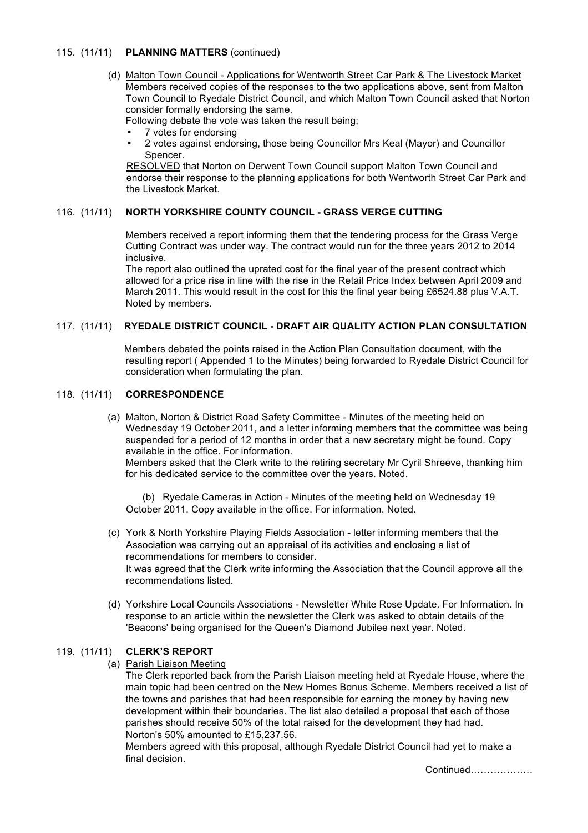## 115. (11/11) **PLANNING MATTERS** (continued)

 (d) Malton Town Council - Applications for Wentworth Street Car Park & The Livestock Market Members received copies of the responses to the two applications above, sent from Malton Town Council to Ryedale District Council, and which Malton Town Council asked that Norton consider formally endorsing the same.

Following debate the vote was taken the result being;

- 7 votes for endorsing
- 2 votes against endorsing, those being Councillor Mrs Keal (Mayor) and Councillor Spencer.

RESOLVED that Norton on Derwent Town Council support Malton Town Council and endorse their response to the planning applications for both Wentworth Street Car Park and the Livestock Market.

## 116. (11/11) **NORTH YORKSHIRE COUNTY COUNCIL - GRASS VERGE CUTTING**

 Members received a report informing them that the tendering process for the Grass Verge Cutting Contract was under way. The contract would run for the three years 2012 to 2014 inclusive.

The report also outlined the uprated cost for the final year of the present contract which allowed for a price rise in line with the rise in the Retail Price Index between April 2009 and March 2011. This would result in the cost for this the final year being £6524.88 plus V.A.T. Noted by members.

## 117. (11/11) **RYEDALE DISTRICT COUNCIL - DRAFT AIR QUALITY ACTION PLAN CONSULTATION**

 Members debated the points raised in the Action Plan Consultation document, with the resulting report ( Appended 1 to the Minutes) being forwarded to Ryedale District Council for consideration when formulating the plan.

## 118. (11/11) **CORRESPONDENCE**

 (a) Malton, Norton & District Road Safety Committee - Minutes of the meeting held on Wednesday 19 October 2011, and a letter informing members that the committee was being suspended for a period of 12 months in order that a new secretary might be found. Copy available in the office. For information.

Members asked that the Clerk write to the retiring secretary Mr Cyril Shreeve, thanking him for his dedicated service to the committee over the years. Noted.

 (b) Ryedale Cameras in Action - Minutes of the meeting held on Wednesday 19 October 2011. Copy available in the office. For information. Noted.

- (c) York & North Yorkshire Playing Fields Association letter informing members that the Association was carrying out an appraisal of its activities and enclosing a list of recommendations for members to consider. It was agreed that the Clerk write informing the Association that the Council approve all the recommendations listed.
- (d) Yorkshire Local Councils Associations Newsletter White Rose Update. For Information. In response to an article within the newsletter the Clerk was asked to obtain details of the 'Beacons' being organised for the Queen's Diamond Jubilee next year. Noted.

## 119. (11/11) **CLERK'S REPORT**

(a) Parish Liaison Meeting

 The Clerk reported back from the Parish Liaison meeting held at Ryedale House, where the main topic had been centred on the New Homes Bonus Scheme. Members received a list of the towns and parishes that had been responsible for earning the money by having new development within their boundaries. The list also detailed a proposal that each of those parishes should receive 50% of the total raised for the development they had had. Norton's 50% amounted to £15,237.56.

Members agreed with this proposal, although Ryedale District Council had yet to make a final decision.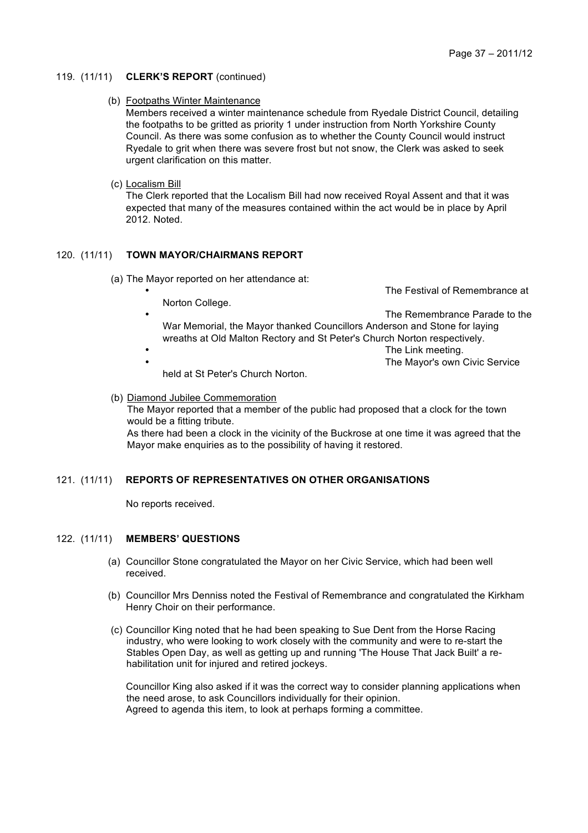#### 119. (11/11) **CLERK'S REPORT** (continued)

## (b) Footpaths Winter Maintenance

Members received a winter maintenance schedule from Ryedale District Council, detailing the footpaths to be gritted as priority 1 under instruction from North Yorkshire County Council. As there was some confusion as to whether the County Council would instruct Ryedale to grit when there was severe frost but not snow, the Clerk was asked to seek urgent clarification on this matter.

## (c) Localism Bill

The Clerk reported that the Localism Bill had now received Royal Assent and that it was expected that many of the measures contained within the act would be in place by April 2012. Noted.

## 120. (11/11) **TOWN MAYOR/CHAIRMANS REPORT**

- (a) The Mayor reported on her attendance at:
	- Norton College.

The Festival of Remembrance at

- The Remembrance Parade to the
- War Memorial, the Mayor thanked Councillors Anderson and Stone for laying wreaths at Old Malton Rectory and St Peter's Church Norton respectively.
- The Link meeting. • The Mayor's own Civic Service

held at St Peter's Church Norton.

### (b) Diamond Jubilee Commemoration The Mayor reported that a member of the public had proposed that a clock for the town would be a fitting tribute. As there had been a clock in the vicinity of the Buckrose at one time it was agreed that the Mayor make enquiries as to the possibility of having it restored.

## 121. (11/11) **REPORTS OF REPRESENTATIVES ON OTHER ORGANISATIONS**

No reports received.

## 122. (11/11) **MEMBERS' QUESTIONS**

- (a) Councillor Stone congratulated the Mayor on her Civic Service, which had been well received.
- (b) Councillor Mrs Denniss noted the Festival of Remembrance and congratulated the Kirkham Henry Choir on their performance.
- (c) Councillor King noted that he had been speaking to Sue Dent from the Horse Racing industry, who were looking to work closely with the community and were to re-start the Stables Open Day, as well as getting up and running 'The House That Jack Built' a rehabilitation unit for injured and retired jockeys.

Councillor King also asked if it was the correct way to consider planning applications when the need arose, to ask Councillors individually for their opinion. Agreed to agenda this item, to look at perhaps forming a committee.